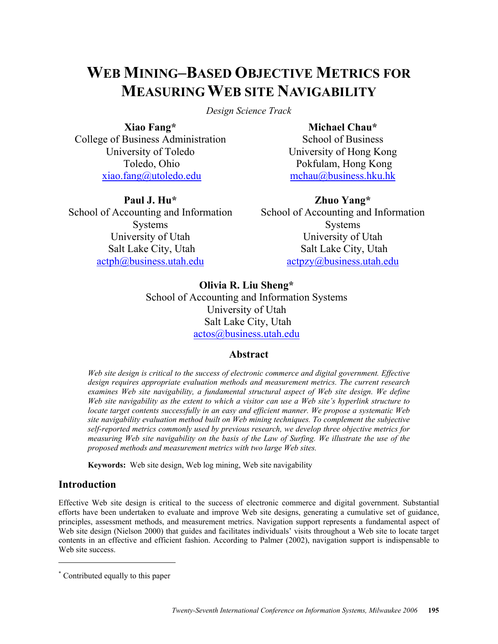# **WEB MINING–BASED OBJECTIVE METRICS FOR MEASURING WEB SITE NAVIGABILITY**

*Design Science Track* 

**Xiao Fang\***  College of Business Administration University of Toledo Toledo, Ohio xiao.fang@utoledo.edu

**Michael Chau\***  School of Business University of Hong Kong Pokfulam, Hong Kong mchau@business.hku.hk

# **Paul J. Hu\***

School of Accounting and Information Systems University of Utah Salt Lake City, Utah actph@business.utah.edu

**Zhuo Yang\***  School of Accounting and Information Systems University of Utah Salt Lake City, Utah actpzy@business.utah.edu

**Olivia R. Liu Sheng\***  School of Accounting and Information Systems University of Utah Salt Lake City, Utah actos@business.utah.edu

# **Abstract**

*Web site design is critical to the success of electronic commerce and digital government. Effective design requires appropriate evaluation methods and measurement metrics. The current research examines Web site navigability, a fundamental structural aspect of Web site design. We define Web site navigability as the extent to which a visitor can use a Web site's hyperlink structure to locate target contents successfully in an easy and efficient manner. We propose a systematic Web site navigability evaluation method built on Web mining techniques. To complement the subjective self-reported metrics commonly used by previous research, we develop three objective metrics for measuring Web site navigability on the basis of the Law of Surfing. We illustrate the use of the proposed methods and measurement metrics with two large Web sites.* 

**Keywords:** Web site design, Web log mining, Web site navigability

# **Introduction**

 $\overline{a}$ 

Effective Web site design is critical to the success of electronic commerce and digital government. Substantial efforts have been undertaken to evaluate and improve Web site designs, generating a cumulative set of guidance, principles, assessment methods, and measurement metrics. Navigation support represents a fundamental aspect of Web site design (Nielson 2000) that guides and facilitates individuals' visits throughout a Web site to locate target contents in an effective and efficient fashion. According to Palmer (2002), navigation support is indispensable to Web site success.

<sup>\*</sup> Contributed equally to this paper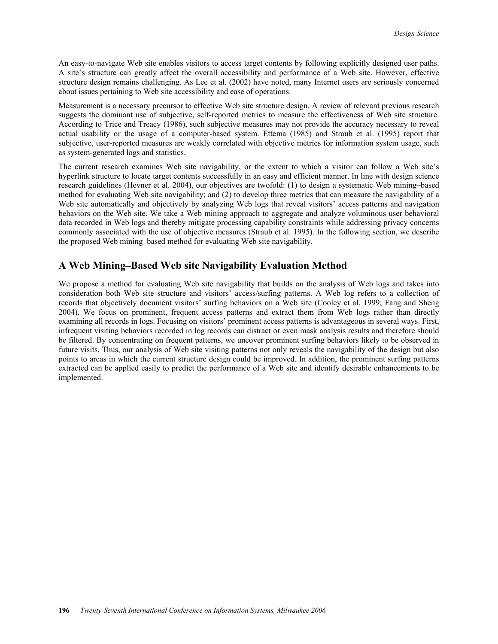An easy-to-navigate Web site enables visitors to access target contents by following explicitly designed user paths. A site's structure can greatly affect the overall accessibility and performance of a Web site. However, effective structure design remains challenging. As Lee et al. (2002) have noted, many Internet users are seriously concerned about issues pertaining to Web site accessibility and ease of operations.

Measurement is a necessary precursor to effective Web site structure design. A review of relevant previous research suggests the dominant use of subjective, self-reported metrics to measure the effectiveness of Web site structure. According to Trice and Treacy (1986), such subjective measures may not provide the accuracy necessary to reveal actual usability or the usage of a computer-based system. Ettema (1985) and Straub et al. (1995) report that subjective, user-reported measures are weakly correlated with objective metrics for information system usage, such as system-generated logs and statistics.

The current research examines Web site navigability, or the extent to which a visitor can follow a Web site's hyperlink structure to locate target contents successfully in an easy and efficient manner. In line with design science research guidelines (Hevner et al. 2004), our objectives are twofold: (1) to design a systematic Web mining–based method for evaluating Web site navigability; and (2) to develop three metrics that can measure the navigability of a Web site automatically and objectively by analyzing Web logs that reveal visitors' access patterns and navigation behaviors on the Web site. We take a Web mining approach to aggregate and analyze voluminous user behavioral data recorded in Web logs and thereby mitigate processing capability constraints while addressing privacy concerns commonly associated with the use of objective measures (Straub et al. 1995). In the following section, we describe the proposed Web mining–based method for evaluating Web site navigability.

# **A Web Mining–Based Web site Navigability Evaluation Method**

We propose a method for evaluating Web site navigability that builds on the analysis of Web logs and takes into consideration both Web site structure and visitors' access/surfing patterns. A Web log refers to a collection of records that objectively document visitors' surfing behaviors on a Web site (Cooley et al. 1999; Fang and Sheng 2004). We focus on prominent, frequent access patterns and extract them from Web logs rather than directly examining all records in logs. Focusing on visitors' prominent access patterns is advantageous in several ways. First, infrequent visiting behaviors recorded in log records can distract or even mask analysis results and therefore should be filtered. By concentrating on frequent patterns, we uncover prominent surfing behaviors likely to be observed in future visits. Thus, our analysis of Web site visiting patterns not only reveals the navigability of the design but also points to areas in which the current structure design could be improved. In addition, the prominent surfing patterns extracted can be applied easily to predict the performance of a Web site and identify desirable enhancements to be implemented.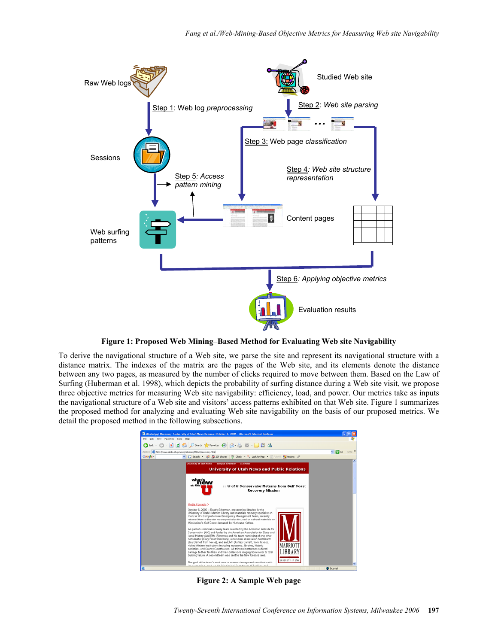

**Figure 1: Proposed Web Mining–Based Method for Evaluating Web site Navigability** 

To derive the navigational structure of a Web site, we parse the site and represent its navigational structure with a distance matrix. The indexes of the matrix are the pages of the Web site, and its elements denote the distance between any two pages, as measured by the number of clicks required to move between them. Based on the Law of Surfing (Huberman et al. 1998), which depicts the probability of surfing distance during a Web site visit, we propose three objective metrics for measuring Web site navigability: efficiency, load, and power. Our metrics take as inputs the navigational structure of a Web site and visitors' access patterns exhibited on that Web site. Figure 1 summarizes the proposed method for analyzing and evaluating Web site navigability on the basis of our proposed metrics. We detail the proposed method in the following subsections.



**Figure 2: A Sample Web page**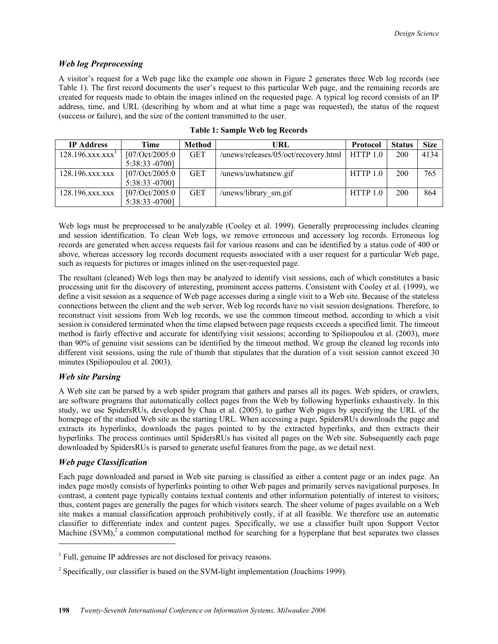### *Web log Preprocessing*

A visitor's request for a Web page like the example one shown in Figure 2 generates three Web log records (see Table 1). The first record documents the user's request to this particular Web page, and the remaining records are created for requests made to obtain the images inlined on the requested page. A typical log record consists of an IP address, time, and URL (describing by whom and at what time a page was requested), the status of the request (success or failure), and the size of the content transmitted to the user.

| <b>IP</b> Address            | Time            | <b>Method</b> | URL                                  | <b>Protocol</b> | <b>Status</b> | <b>Size</b> |
|------------------------------|-----------------|---------------|--------------------------------------|-----------------|---------------|-------------|
| 128.196.xxx.xxx <sup>1</sup> | [07/Oct/2005:0] | <b>GET</b>    | /unews/releases/05/oct/recovery.html | HTTP 1.0        | 200           | 4134        |
|                              | 5:38:33 -0700]  |               |                                      |                 |               |             |
| 128.196.xxx.xxx              | [07/Oct/2005:0] | <b>GET</b>    | /unews/uwhatsnew.gif                 | HTTP 1.0        | 200           | 765         |
|                              | 5:38:33 -0700]  |               |                                      |                 |               |             |
| 128.196.xxx.xxx              | [07/Oct/2005:0] | <b>GET</b>    | /unews/library sm.gif                | HTTP 1.0        | 200           | 864         |
|                              | 5:38:33 -0700]  |               |                                      |                 |               |             |

**Table 1: Sample Web log Records** 

Web logs must be preprocessed to be analyzable (Cooley et al. 1999). Generally preprocessing includes cleaning and session identification. To clean Web logs, we remove erroneous and accessory log records. Erroneous log records are generated when access requests fail for various reasons and can be identified by a status code of 400 or above, whereas accessory log records document requests associated with a user request for a particular Web page, such as requests for pictures or images inlined on the user-requested page.

The resultant (cleaned) Web logs then may be analyzed to identify visit sessions, each of which constitutes a basic processing unit for the discovery of interesting, prominent access patterns. Consistent with Cooley et al. (1999), we define a visit session as a sequence of Web page accesses during a single visit to a Web site. Because of the stateless connections between the client and the web server, Web log records have no visit session designations. Therefore, to reconstruct visit sessions from Web log records, we use the common timeout method, according to which a visit session is considered terminated when the time elapsed between page requests exceeds a specified limit. The timeout method is fairly effective and accurate for identifying visit sessions; according to Spiliopoulou et al. (2003), more than 90% of genuine visit sessions can be identified by the timeout method. We group the cleaned log records into different visit sessions, using the rule of thumb that stipulates that the duration of a visit session cannot exceed 30 minutes (Spiliopoulou et al. 2003).

# *Web site Parsing*

A Web site can be parsed by a web spider program that gathers and parses all its pages. Web spiders, or crawlers, are software programs that automatically collect pages from the Web by following hyperlinks exhaustively. In this study, we use SpidersRUs, developed by Chau et al. (2005), to gather Web pages by specifying the URL of the homepage of the studied Web site as the starting URL. When accessing a page, SpidersRUs downloads the page and extracts its hyperlinks, downloads the pages pointed to by the extracted hyperlinks, and then extracts their hyperlinks. The process continues until SpidersRUs has visited all pages on the Web site. Subsequently each page downloaded by SpidersRUs is parsed to generate useful features from the page, as we detail next.

### *Web page Classification*

 $\overline{a}$ 

Each page downloaded and parsed in Web site parsing is classified as either a content page or an index page. An index page mostly consists of hyperlinks pointing to other Web pages and primarily serves navigational purposes. In contrast, a content page typically contains textual contents and other information potentially of interest to visitors; thus, content pages are generally the pages for which visitors search. The sheer volume of pages available on a Web site makes a manual classification approach prohibitively costly, if at all feasible. We therefore use an automatic classifier to differentiate index and content pages. Specifically, we use a classifier built upon Support Vector Machine  $(SVM)<sup>2</sup>$  a common computational method for searching for a hyperplane that best separates two classes

<sup>&</sup>lt;sup>1</sup> Full, genuine IP addresses are not disclosed for privacy reasons.

<sup>&</sup>lt;sup>2</sup> Specifically, our classifier is based on the SVM-light implementation (Joachims 1999).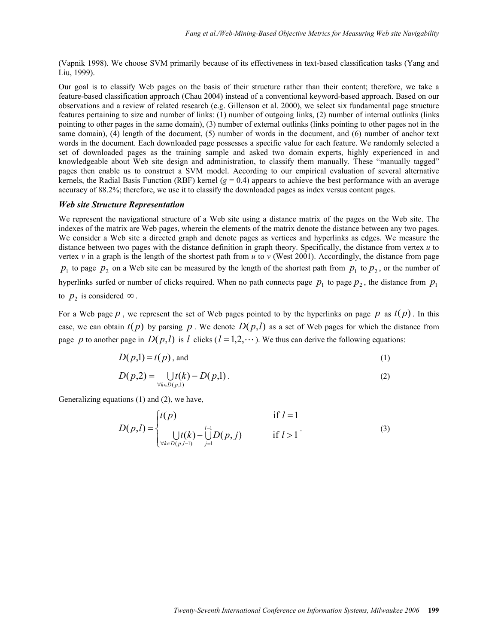(Vapnik 1998). We choose SVM primarily because of its effectiveness in text-based classification tasks (Yang and Liu, 1999).

Our goal is to classify Web pages on the basis of their structure rather than their content; therefore, we take a feature-based classification approach (Chau 2004) instead of a conventional keyword-based approach. Based on our observations and a review of related research (e.g. Gillenson et al. 2000), we select six fundamental page structure features pertaining to size and number of links: (1) number of outgoing links, (2) number of internal outlinks (links pointing to other pages in the same domain), (3) number of external outlinks (links pointing to other pages not in the same domain), (4) length of the document, (5) number of words in the document, and (6) number of anchor text words in the document. Each downloaded page possesses a specific value for each feature. We randomly selected a set of downloaded pages as the training sample and asked two domain experts, highly experienced in and knowledgeable about Web site design and administration, to classify them manually. These "manually tagged" pages then enable us to construct a SVM model. According to our empirical evaluation of several alternative kernels, the Radial Basis Function (RBF) kernel  $(g = 0.4)$  appears to achieve the best performance with an average accuracy of 88.2%; therefore, we use it to classify the downloaded pages as index versus content pages.

#### *Web site Structure Representation*

We represent the navigational structure of a Web site using a distance matrix of the pages on the Web site. The indexes of the matrix are Web pages, wherein the elements of the matrix denote the distance between any two pages. We consider a Web site a directed graph and denote pages as vertices and hyperlinks as edges. We measure the distance between two pages with the distance definition in graph theory. Specifically, the distance from vertex *u* to vertex  $v$  in a graph is the length of the shortest path from  $u$  to  $v$  (West 2001). Accordingly, the distance from page  $p_1$  to page  $p_2$  on a Web site can be measured by the length of the shortest path from  $p_1$  to  $p_2$ , or the number of hyperlinks surfed or number of clicks required. When no path connects page  $p_1$  to page  $p_2$ , the distance from  $p_1$ to  $p_2$  is considered  $\infty$ .

For a Web page  $p$ , we represent the set of Web pages pointed to by the hyperlinks on page  $p$  as  $t(p)$ . In this case, we can obtain  $t(p)$  by parsing p. We denote  $D(p, l)$  as a set of Web pages for which the distance from page *p* to another page in  $D(p,l)$  is *l* clicks ( $l = 1,2,\dots$ ). We thus can derive the following equations:

$$
D(p,1) = t(p), \text{ and} \tag{1}
$$

$$
D(p,2) = \bigcup_{\forall k \in D(p,1)} t(k) - D(p,1).
$$
 (2)

Generalizing equations (1) and (2), we have,

$$
D(p,l) = \begin{cases} t(p) & \text{if } l = 1\\ \bigcup_{\forall k \in D(p,l-1)} t(k) - \bigcup_{j=1}^{l-1} D(p,j) & \text{if } l > 1 \end{cases}
$$
 (3)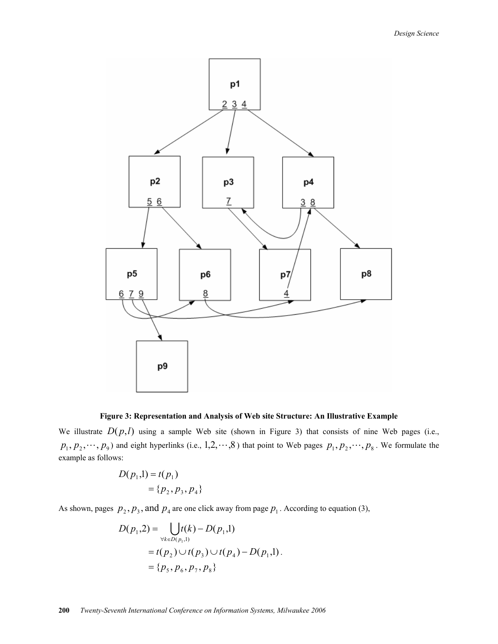

**Figure 3: Representation and Analysis of Web site Structure: An Illustrative Example** 

We illustrate  $D(p, l)$  using a sample Web site (shown in Figure 3) that consists of nine Web pages (i.e.,  $p_1, p_2, \dots, p_9$  and eight hyperlinks (i.e., 1,2,  $\cdots, 8$ ) that point to Web pages  $p_1, p_2, \dots, p_8$ . We formulate the example as follows:

$$
D(p_1,1) = t(p_1)
$$
  
= {p<sub>2</sub>, p<sub>3</sub>, p<sub>4</sub>}

As shown, pages  $p_2$ ,  $p_3$ , and  $p_4$  are one click away from page  $p_1$ . According to equation (3),

$$
D(p_1,2) = \bigcup_{\forall k \in D(p_1,1)} t(k) - D(p_1,1)
$$
  
=  $t(p_2) \cup t(p_3) \cup t(p_4) - D(p_1,1)$ .  
=  $\{p_5, p_6, p_7, p_8\}$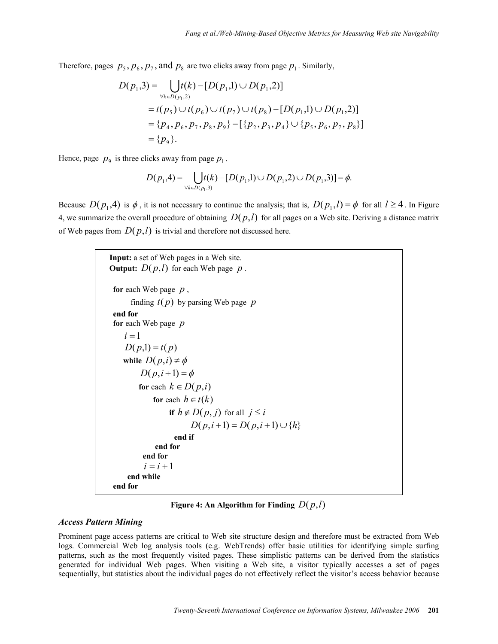Therefore, pages  $p_5$ ,  $p_6$ ,  $p_7$ , and  $p_8$  are two clicks away from page  $p_1$ . Similarly,

$$
D(p_1,3) = \bigcup_{\forall k \in D(p_1,2)} t(k) - [D(p_1,1) \cup D(p_1,2)]
$$
  
=  $t(p_5) \cup t(p_6) \cup t(p_7) \cup t(p_8) - [D(p_1,1) \cup D(p_1,2)]$   
=  $\{p_4, p_6, p_7, p_8, p_9\} - [\{p_2, p_3, p_4\} \cup \{p_5, p_6, p_7, p_8\}]$   
=  $\{p_9\}.$ 

Hence, page  $p_9$  is three clicks away from page  $p_1$ .

$$
D(p_1,4) = \bigcup_{\forall k \in D(p_1,3)} t(k) - [D(p_1,1) \cup D(p_1,2) \cup D(p_1,3)] = \phi.
$$

Because  $D(p_1, 4)$  is  $\phi$ , it is not necessary to continue the analysis; that is,  $D(p_1, l) = \phi$  for all  $l \ge 4$ . In Figure 4, we summarize the overall procedure of obtaining  $D(p, l)$  for all pages on a Web site. Deriving a distance matrix of Web pages from  $D(p,l)$  is trivial and therefore not discussed here.

> **Input:** a set of Web pages in a Web site. **Output:**  $D(p,l)$  for each Web page  $p$ . **for** each Web page *p* , finding *t*( *p*) by parsing Web page *p* **end for for** each Web page *p*  $i = 1$  $D(p,1) = t(p)$  **while**  $D(p, i) \neq \phi$  $D(p, i+1) = \phi$ **for** each  $k \in D(p,i)$ **for** each  $h \in t(k)$ **if**  $h \notin D(p, j)$  for all  $j \leq i$ *D*( $p, i+1$ ) = *D*( $p, i+1$ ) ∪ {*h*} **end if end for end for**   $i = i + 1$  **end while end for**

**Figure 4: An Algorithm for Finding**  $D(p,l)$ 

#### *Access Pattern Mining*

Prominent page access patterns are critical to Web site structure design and therefore must be extracted from Web logs. Commercial Web log analysis tools (e.g. WebTrends) offer basic utilities for identifying simple surfing patterns, such as the most frequently visited pages. These simplistic patterns can be derived from the statistics generated for individual Web pages. When visiting a Web site, a visitor typically accesses a set of pages sequentially, but statistics about the individual pages do not effectively reflect the visitor's access behavior because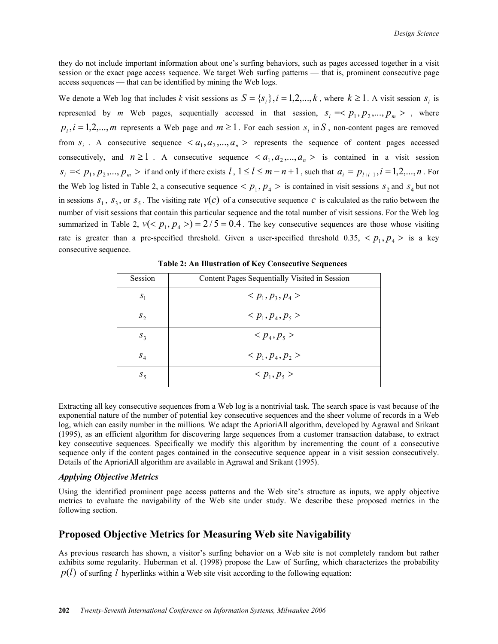they do not include important information about one's surfing behaviors, such as pages accessed together in a visit session or the exact page access sequence. We target Web surfing patterns — that is, prominent consecutive page access sequences — that can be identified by mining the Web logs.

We denote a Web log that includes *k* visit sessions as  $S = \{s_i\}$ ,  $i = 1, 2, ..., k$ , where  $k \ge 1$ . A visit session  $s_i$  is represented by *m* Web pages, sequentially accessed in that session,  $s_i = \langle p_1, p_2, ..., p_m \rangle$ , where  $p_i$ ,  $i = 1, 2, \dots, m$  represents a Web page and  $m \ge 1$ . For each session  $s_i$  in *S*, non-content pages are removed from  $s_i$ . A consecutive sequence  $\langle a_1, a_2, ..., a_n \rangle$  represents the sequence of content pages accessed consecutively, and  $n \ge 1$ . A consecutive sequence  $\langle a_1, a_2, ..., a_n \rangle$  is contained in a visit session  $s_i \leq p_1, p_2, \ldots, p_m >$  if and only if there exists  $l, 1 \leq l \leq m - n + 1$ , such that  $a_i = p_{l+i-1}, i = 1, 2, \ldots, n$ . For the Web log listed in Table 2, a consecutive sequence  $\langle p_1, p_4 \rangle$  is contained in visit sessions  $s_2$  and  $s_4$  but not in sessions  $s_1$ ,  $s_3$ , or  $s_5$ . The visiting rate  $v(c)$  of a consecutive sequence *c* is calculated as the ratio between the number of visit sessions that contain this particular sequence and the total number of visit sessions. For the Web log summarized in Table 2,  $v(< p_1, p_4 > ) = 2/5 = 0.4$ . The key consecutive sequences are those whose visiting rate is greater than a pre-specified threshold. Given a user-specified threshold 0.35,  $\langle p_1, p_4 \rangle$  is a key consecutive sequence.

| Session    | Content Pages Sequentially Visited in Session |
|------------|-----------------------------------------------|
| $S_1$      | $< p_1, p_3, p_4 >$                           |
| $S_{2}$    | $< p_1, p_4, p_5 >$                           |
| $S_3$      | $< p_4, p_5 >$                                |
| $S_4$      | $< p_1, p_4, p_2 >$                           |
| $S_{\leq}$ | $< p_1, p_5 >$                                |

**Table 2: An Illustration of Key Consecutive Sequences** 

Extracting all key consecutive sequences from a Web log is a nontrivial task. The search space is vast because of the exponential nature of the number of potential key consecutive sequences and the sheer volume of records in a Web log, which can easily number in the millions. We adapt the AprioriAll algorithm, developed by Agrawal and Srikant (1995), as an efficient algorithm for discovering large sequences from a customer transaction database, to extract key consecutive sequences. Specifically we modify this algorithm by incrementing the count of a consecutive sequence only if the content pages contained in the consecutive sequence appear in a visit session consecutively. Details of the AprioriAll algorithm are available in Agrawal and Srikant (1995).

#### *Applying Objective Metrics*

Using the identified prominent page access patterns and the Web site's structure as inputs, we apply objective metrics to evaluate the navigability of the Web site under study. We describe these proposed metrics in the following section.

# **Proposed Objective Metrics for Measuring Web site Navigability**

As previous research has shown, a visitor's surfing behavior on a Web site is not completely random but rather exhibits some regularity. Huberman et al. (1998) propose the Law of Surfing, which characterizes the probability  $p(l)$  of surfing *l* hyperlinks within a Web site visit according to the following equation: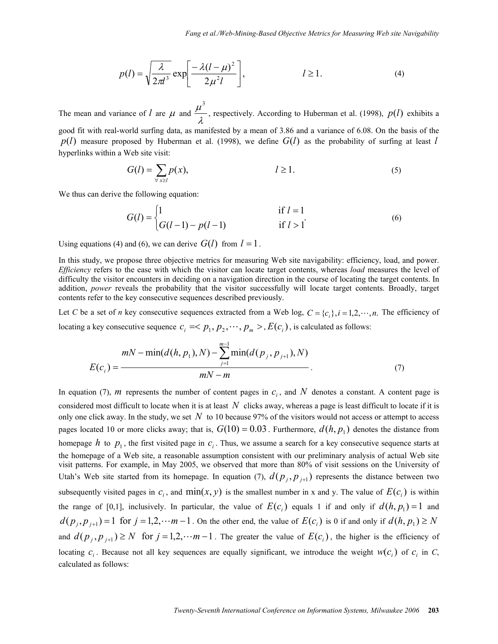$$
p(l) = \sqrt{\frac{\lambda}{2\pi l^3}} \exp\left[\frac{-\lambda(l-\mu)^2}{2\mu^2 l}\right], \qquad l \ge 1.
$$
 (4)

The mean and variance of *l* are  $\mu$  and  $\frac{\mu}{\lambda}$  $\frac{\mu^3}{\mu^3}$ , respectively. According to Huberman et al. (1998),  $p(l)$  exhibits a

good fit with real-world surfing data, as manifested by a mean of 3.86 and a variance of 6.08. On the basis of the  $p(l)$  measure proposed by Huberman et al. (1998), we define  $G(l)$  as the probability of surfing at least *l* hyperlinks within a Web site visit:

$$
G(l) = \sum_{\forall x \ge l} p(x), \qquad l \ge 1. \tag{5}
$$

We thus can derive the following equation:

$$
G(l) = \begin{cases} 1 & \text{if } l = 1 \\ G(l-1) - p(l-1) & \text{if } l > 1 \end{cases}
$$
 (6)

Using equations (4) and (6), we can derive  $G(l)$  from  $l = 1$ .

In this study, we propose three objective metrics for measuring Web site navigability: efficiency, load, and power. *Efficiency* refers to the ease with which the visitor can locate target contents, whereas *load* measures the level of difficulty the visitor encounters in deciding on a navigation direction in the course of locating the target contents. In addition, *power* reveals the probability that the visitor successfully will locate target contents. Broadly, target contents refer to the key consecutive sequences described previously.

Let *C* be a set of *n* key consecutive sequences extracted from a Web log,  $C = \{c_i\}$ ,  $i = 1, 2, \dots, n$ . The efficiency of locating a key consecutive sequence  $c_i \leq p_1, p_2, \dots, p_m > E(c_i)$ , is calculated as follows:

$$
mN - \min(d(h, p_1), N) - \sum_{j=1}^{m-1} \min(d(p_j, p_{j+1}), N)
$$
  

$$
E(c_i) = \frac{mN - m}{M - m}.
$$
 (7)

In equation (7), *m* represents the number of content pages in  $c_i$ , and N denotes a constant. A content page is considered most difficult to locate when it is at least  $N$  clicks away, whereas a page is least difficult to locate if it is only one click away. In the study, we set  $N$  to 10 because 97% of the visitors would not access or attempt to access pages located 10 or more clicks away; that is,  $G(10) = 0.03$ . Furthermore,  $d(h, p_1)$  denotes the distance from homepage  $h$  to  $p_1$ , the first visited page in  $c_i$ . Thus, we assume a search for a key consecutive sequence starts at the homepage of a Web site, a reasonable assumption consistent with our preliminary analysis of actual Web site visit patterns. For example, in May 2005, we observed that more than 80% of visit sessions on the University of Utah's Web site started from its homepage. In equation (7),  $d(p_j, p_{j+1})$  represents the distance between two subsequently visited pages in  $c_i$ , and  $min(x, y)$  is the smallest number in x and y. The value of  $E(c_i)$  is within the range of [0,1], inclusively. In particular, the value of  $E(c_i)$  equals 1 if and only if  $d(h, p_1) = 1$  and  $d(p_i, p_{i+1}) = 1$  for  $j = 1, 2, \dots m - 1$ . On the other end, the value of  $E(c_i)$  is 0 if and only if  $d(h, p_1) \ge N$ and  $d(p_i, p_{i+1}) \ge N$  for  $j = 1, 2, \dots m - 1$ . The greater the value of  $E(c_i)$ , the higher is the efficiency of locating  $c_i$ . Because not all key sequences are equally significant, we introduce the weight  $w(c_i)$  of  $c_i$  in C, calculated as follows: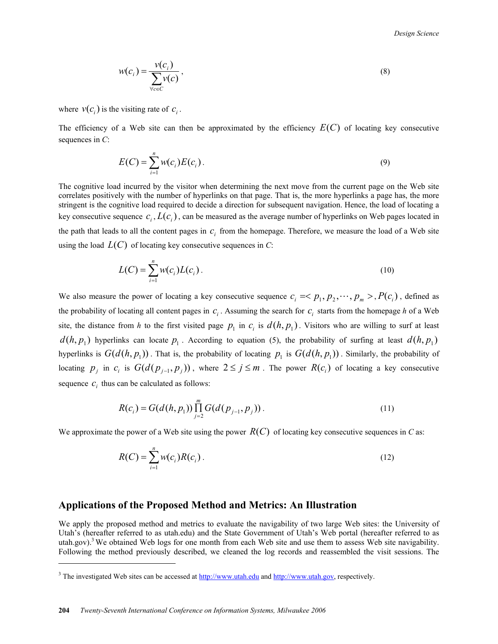*Design Science* 

$$
w(c_i) = \frac{v(c_i)}{\sum_{\forall c \in C} v(c)},
$$
\n(8)

where  $v(c_i)$  is the visiting rate of  $c_i$ .

The efficiency of a Web site can then be approximated by the efficiency  $E(C)$  of locating key consecutive sequences in *C*:

$$
E(C) = \sum_{i=1}^{n} w(c_i) E(c_i).
$$
 (9)

The cognitive load incurred by the visitor when determining the next move from the current page on the Web site correlates positively with the number of hyperlinks on that page. That is, the more hyperlinks a page has, the more stringent is the cognitive load required to decide a direction for subsequent navigation. Hence, the load of locating a key consecutive sequence  $c_i$ ,  $L(c_i)$ , can be measured as the average number of hyperlinks on Web pages located in the path that leads to all the content pages in  $c_i$  from the homepage. Therefore, we measure the load of a Web site using the load  $L(C)$  of locating key consecutive sequences in  $C$ :

$$
L(C) = \sum_{i=1}^{n} w(c_i) L(c_i).
$$
 (10)

We also measure the power of locating a key consecutive sequence  $c_i \leq p_1, p_2, \dots, p_m > P(c_i)$ , defined as the probability of locating all content pages in  $c_i$ . Assuming the search for  $c_i$  starts from the homepage *h* of a Web site, the distance from *h* to the first visited page  $p_1$  in  $c_i$  is  $d(h, p_1)$ . Visitors who are willing to surf at least  $d(h, p_1)$  hyperlinks can locate  $p_1$ . According to equation (5), the probability of surfing at least  $d(h, p_1)$ hyperlinks is  $G(d(h, p_1))$ . That is, the probability of locating  $p_1$  is  $G(d(h, p_1))$ . Similarly, the probability of locating  $p_j$  in  $c_i$  is  $G(d(p_{j-1}, p_j))$ , where  $2 \le j \le m$ . The power  $R(c_i)$  of locating a key consecutive sequence  $c_i$  thus can be calculated as follows:

$$
R(c_i) = G(d(h, p_1)) \prod_{j=2}^{m} G(d(p_{j-1}, p_j)).
$$
\n(11)

We approximate the power of a Web site using the power  $R(C)$  of locating key consecutive sequences in *C* as:

$$
R(C) = \sum_{i=1}^{n} w(c_i) R(c_i).
$$
 (12)

# **Applications of the Proposed Method and Metrics: An Illustration**

We apply the proposed method and metrics to evaluate the navigability of two large Web sites: the University of Utah's (hereafter referred to as utah.edu) and the State Government of Utah's Web portal (hereafter referred to as utah.gov).<sup>3</sup> We obtained Web logs for one month from each Web site and use them to assess Web site navigability. Following the method previously described, we cleaned the log records and reassembled the visit sessions. The

 $\overline{a}$ 

<sup>&</sup>lt;sup>3</sup> The investigated Web sites can be accessed at  $\frac{http://www.utah.edu}{http://www.utah.edu)}$  and  $\frac{http://www.utah.gov}{http://www.utah.gov)}$ , respectively.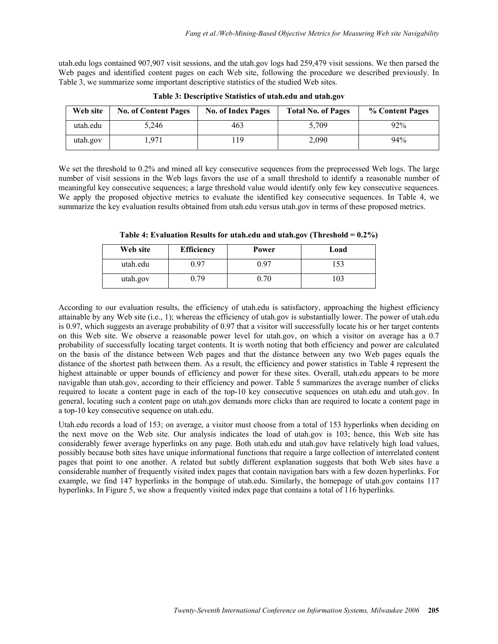utah.edu logs contained 907,907 visit sessions, and the utah.gov logs had 259,479 visit sessions. We then parsed the Web pages and identified content pages on each Web site, following the procedure we described previously. In Table 3, we summarize some important descriptive statistics of the studied Web sites.

| Web site | <b>No. of Content Pages</b> | <b>No. of Index Pages</b> | <b>Total No. of Pages</b> | % Content Pages |
|----------|-----------------------------|---------------------------|---------------------------|-----------------|
| utah.edu | 5,246                       | 463                       | 5.709                     | 92%             |
| utah.gov | .971                        | 119                       | 2,090                     | 94%             |

**Table 3: Descriptive Statistics of utah.edu and utah.gov** 

We set the threshold to 0.2% and mined all key consecutive sequences from the preprocessed Web logs. The large number of visit sessions in the Web logs favors the use of a small threshold to identify a reasonable number of meaningful key consecutive sequences; a large threshold value would identify only few key consecutive sequences. We apply the proposed objective metrics to evaluate the identified key consecutive sequences. In Table 4, we summarize the key evaluation results obtained from utah.edu versus utah.gov in terms of these proposed metrics.

| Web site | <b>Efficiency</b> | Power | Load |
|----------|-------------------|-------|------|
| utah.edu | ) 97              | ) 97  |      |
| utah.gov | .79               | ).70  | 103  |

**Table 4: Evaluation Results for utah.edu and utah.gov (Threshold = 0.2%)** 

According to our evaluation results, the efficiency of utah.edu is satisfactory, approaching the highest efficiency attainable by any Web site (i.e., 1); whereas the efficiency of utah.gov is substantially lower. The power of utah.edu is 0.97, which suggests an average probability of 0.97 that a visitor will successfully locate his or her target contents on this Web site. We observe a reasonable power level for utah.gov, on which a visitor on average has a 0.7 probability of successfully locating target contents. It is worth noting that both efficiency and power are calculated on the basis of the distance between Web pages and that the distance between any two Web pages equals the distance of the shortest path between them. As a result, the efficiency and power statistics in Table 4 represent the highest attainable or upper bounds of efficiency and power for these sites. Overall, utah.edu appears to be more navigable than utah.gov, according to their efficiency and power. Table 5 summarizes the average number of clicks required to locate a content page in each of the top-10 key consecutive sequences on utah.edu and utah.gov. In general, locating such a content page on utah.gov demands more clicks than are required to locate a content page in a top-10 key consecutive sequence on utah.edu.

Utah.edu records a load of 153; on average, a visitor must choose from a total of 153 hyperlinks when deciding on the next move on the Web site. Our analysis indicates the load of utah.gov is 103; hence, this Web site has considerably fewer average hyperlinks on any page. Both utah.edu and utah.gov have relatively high load values, possibly because both sites have unique informational functions that require a large collection of interrelated content pages that point to one another. A related but subtly different explanation suggests that both Web sites have a considerable number of frequently visited index pages that contain navigation bars with a few dozen hyperlinks. For example, we find 147 hyperlinks in the hompage of utah.edu. Similarly, the homepage of utah.gov contains 117 hyperlinks. In Figure 5, we show a frequently visited index page that contains a total of 116 hyperlinks.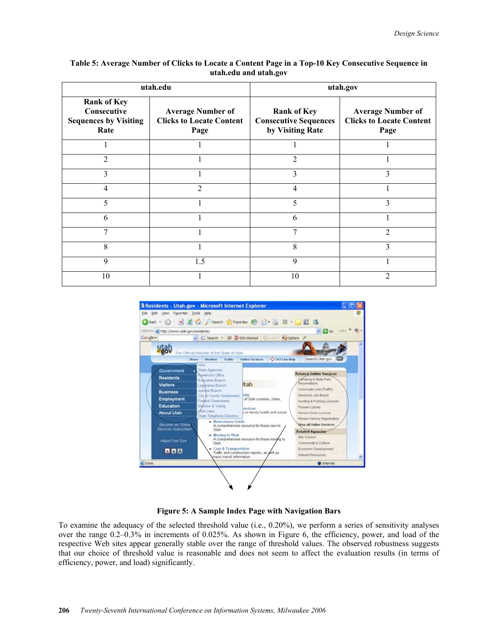| Table 5: Average Number of Clicks to Locate a Content Page in a Top-10 Key Consecutive Sequence in |
|----------------------------------------------------------------------------------------------------|
| utah.edu and utah.gov                                                                              |

|                                                                           | utah.edu                                                            | utah.gov                                                               |                                                                     |  |
|---------------------------------------------------------------------------|---------------------------------------------------------------------|------------------------------------------------------------------------|---------------------------------------------------------------------|--|
| <b>Rank of Key</b><br>Consecutive<br><b>Sequences by Visiting</b><br>Rate | <b>Average Number of</b><br><b>Clicks to Locate Content</b><br>Page | <b>Rank of Key</b><br><b>Consecutive Sequences</b><br>by Visiting Rate | <b>Average Number of</b><br><b>Clicks to Locate Content</b><br>Page |  |
|                                                                           |                                                                     |                                                                        |                                                                     |  |
| $\overline{2}$                                                            |                                                                     | $\overline{2}$                                                         |                                                                     |  |
| 3                                                                         |                                                                     | 3                                                                      | 3                                                                   |  |
| 4                                                                         | $\overline{2}$                                                      | 4                                                                      |                                                                     |  |
| 5                                                                         |                                                                     | 5                                                                      | 3                                                                   |  |
| 6                                                                         |                                                                     | 6                                                                      |                                                                     |  |
| 7                                                                         |                                                                     | 7                                                                      | $\mathfrak{D}$                                                      |  |
| 8                                                                         |                                                                     | 8                                                                      | 3                                                                   |  |
| 9                                                                         | 1.5                                                                 | 9                                                                      |                                                                     |  |
| 10                                                                        |                                                                     | 10                                                                     | 2                                                                   |  |



**Figure 5: A Sample Index Page with Navigation Bars** 

To examine the adequacy of the selected threshold value (i.e., 0.20%), we perform a series of sensitivity analyses over the range 0.2–0.3% in increments of 0.025%. As shown in Figure 6, the efficiency, power, and load of the respective Web sites appear generally stable over the range of threshold values. The observed robustness suggests that our choice of threshold value is reasonable and does not seem to affect the evaluation results (in terms of efficiency, power, and load) significantly.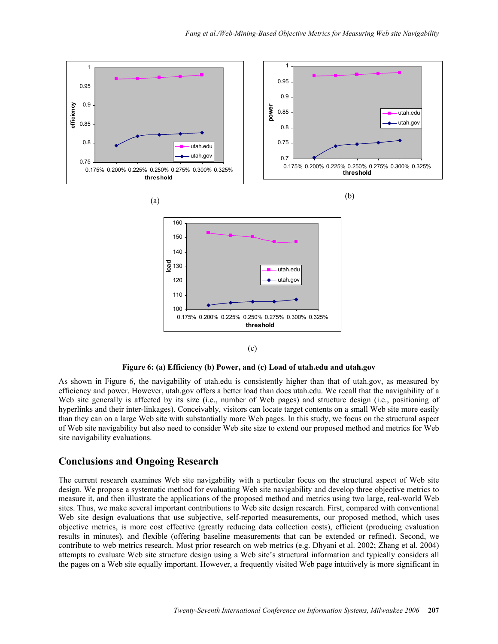



As shown in Figure 6, the navigability of utah.edu is consistently higher than that of utah.gov, as measured by efficiency and power. However, utah.gov offers a better load than does utah.edu. We recall that the navigability of a Web site generally is affected by its size (i.e., number of Web pages) and structure design (i.e., positioning of hyperlinks and their inter-linkages). Conceivably, visitors can locate target contents on a small Web site more easily than they can on a large Web site with substantially more Web pages. In this study, we focus on the structural aspect of Web site navigability but also need to consider Web site size to extend our proposed method and metrics for Web site navigability evaluations.

# **Conclusions and Ongoing Research**

The current research examines Web site navigability with a particular focus on the structural aspect of Web site design. We propose a systematic method for evaluating Web site navigability and develop three objective metrics to measure it, and then illustrate the applications of the proposed method and metrics using two large, real-world Web sites. Thus, we make several important contributions to Web site design research. First, compared with conventional Web site design evaluations that use subjective, self-reported measurements, our proposed method, which uses objective metrics, is more cost effective (greatly reducing data collection costs), efficient (producing evaluation results in minutes), and flexible (offering baseline measurements that can be extended or refined). Second, we contribute to web metrics research. Most prior research on web metrics (e.g. Dhyani et al. 2002; Zhang et al. 2004) attempts to evaluate Web site structure design using a Web site's structural information and typically considers all the pages on a Web site equally important. However, a frequently visited Web page intuitively is more significant in